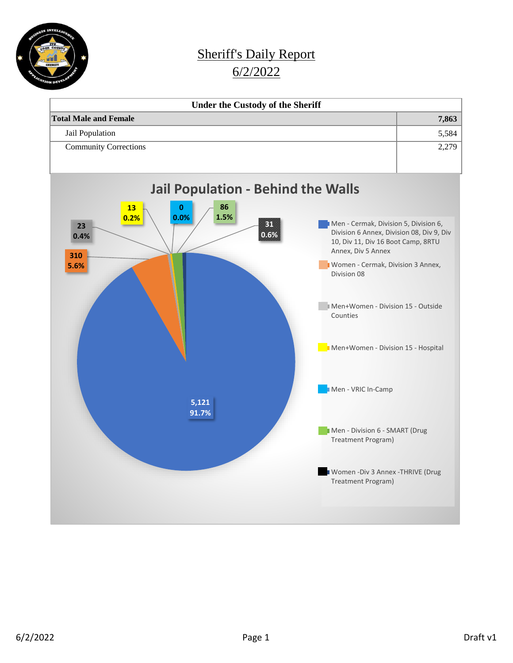

## Sheriff's Daily Report 6/2/2022

| <b>Under the Custody of the Sheriff</b> |       |
|-----------------------------------------|-------|
| <b>Total Male and Female</b>            | 7,863 |
| Jail Population                         | 5,584 |
| <b>Community Corrections</b>            | 2,279 |
|                                         |       |